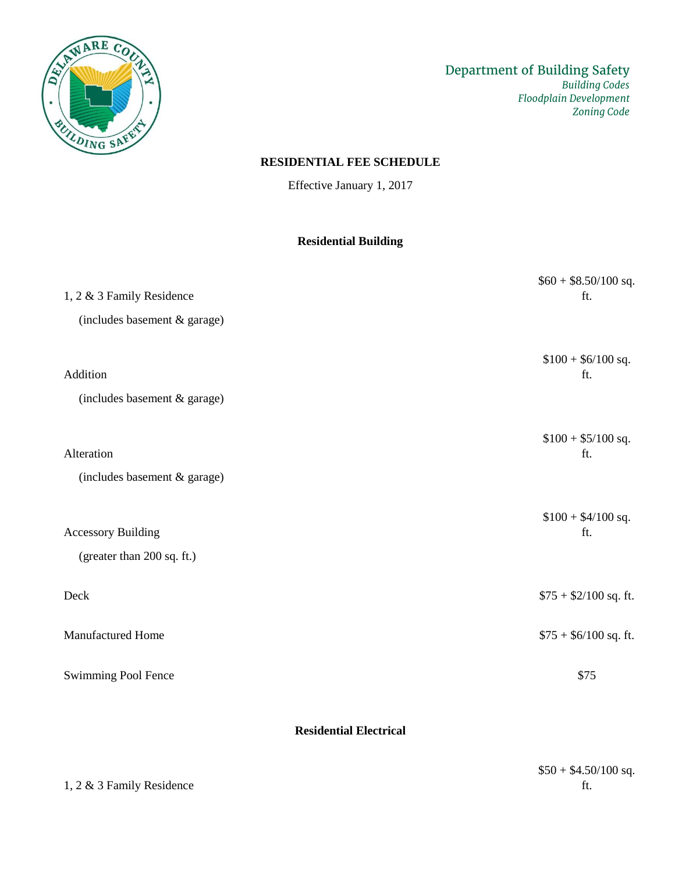

## **RESIDENTIAL FEE SCHEDULE**

Effective January 1, 2017

## **Residential Building**

| 1, 2 & 3 Family Residence                               | $$60 + $8.50/100$ sq.<br>ft. |
|---------------------------------------------------------|------------------------------|
| (includes basement & garage)                            |                              |
| Addition<br>(includes basement & garage)                | $$100 + $6/100$ sq.<br>ft.   |
| Alteration<br>(includes basement & garage)              | $$100 + $5/100$ sq.<br>ft.   |
| <b>Accessory Building</b><br>(greater than 200 sq. ft.) | $$100 + $4/100$ sq.<br>ft.   |
| Deck                                                    | $$75 + $2/100$ sq. ft.       |
| Manufactured Home                                       | $$75 + $6/100$ sq. ft.       |
| Swimming Pool Fence                                     | \$75                         |

**Residential Electrical**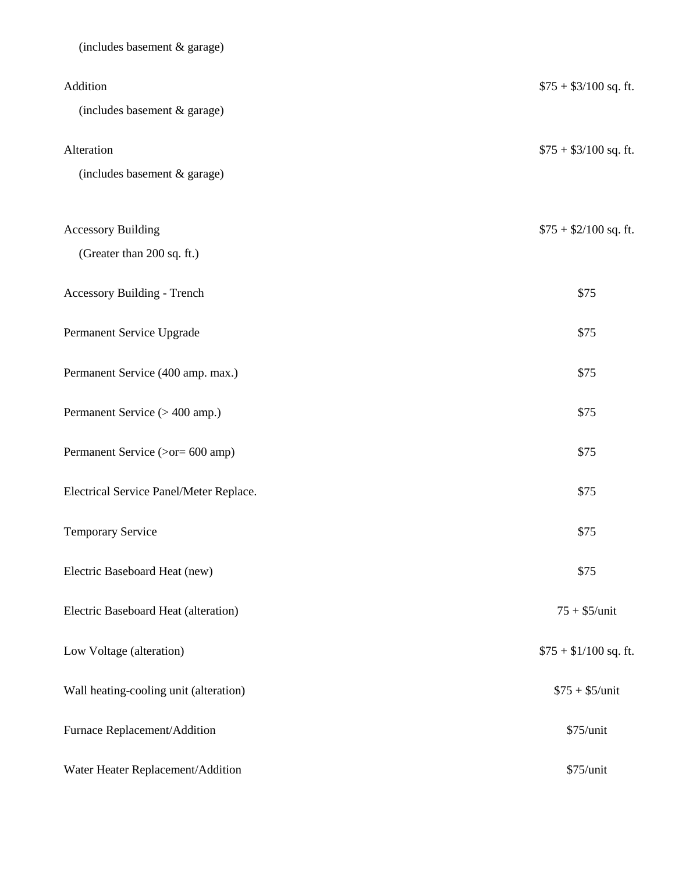| (includes basement & garage)            |                        |
|-----------------------------------------|------------------------|
| Addition                                | $$75 + $3/100$ sq. ft. |
| (includes basement & garage)            |                        |
| Alteration                              | $$75 + $3/100$ sq. ft. |
| (includes basement & garage)            |                        |
| <b>Accessory Building</b>               | $$75 + $2/100$ sq. ft. |
| (Greater than 200 sq. ft.)              |                        |
| Accessory Building - Trench             | \$75                   |
| Permanent Service Upgrade               | \$75                   |
| Permanent Service (400 amp. max.)       | \$75                   |
| Permanent Service (> 400 amp.)          | \$75                   |
| Permanent Service (>or= 600 amp)        | \$75                   |
| Electrical Service Panel/Meter Replace. | \$75                   |
| Temporary Service                       | \$75                   |
| Electric Baseboard Heat (new)           | \$75                   |
| Electric Baseboard Heat (alteration)    | $75 + $5/$ unit        |
| Low Voltage (alteration)                | $$75 + $1/100$ sq. ft. |
| Wall heating-cooling unit (alteration)  | $$75 + $5/$ unit       |
| Furnace Replacement/Addition            | \$75/unit              |
| Water Heater Replacement/Addition       | \$75/unit              |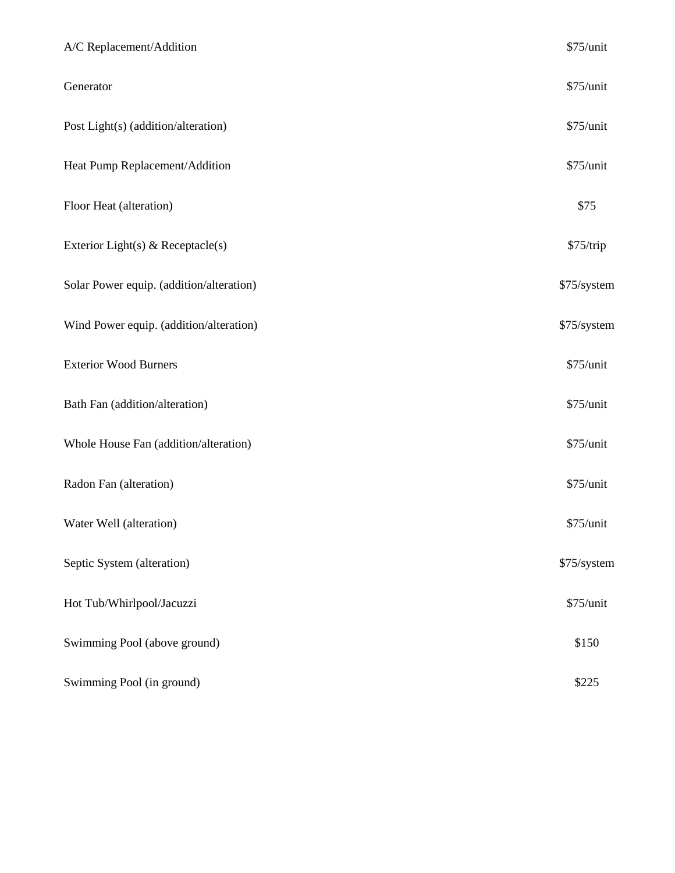| A/C Replacement/Addition                 | \$75/unit   |
|------------------------------------------|-------------|
| Generator                                | \$75/unit   |
| Post Light(s) (addition/alteration)      | \$75/unit   |
| Heat Pump Replacement/Addition           | \$75/unit   |
| Floor Heat (alteration)                  | \$75        |
| Exterior Light(s) & Receptacle(s)        | \$75/trip   |
| Solar Power equip. (addition/alteration) | \$75/system |
| Wind Power equip. (addition/alteration)  | \$75/system |
| <b>Exterior Wood Burners</b>             | \$75/unit   |
| Bath Fan (addition/alteration)           | \$75/unit   |
| Whole House Fan (addition/alteration)    | \$75/unit   |
| Radon Fan (alteration)                   | \$75/unit   |
| Water Well (alteration)                  | \$75/unit   |
| Septic System (alteration)               | \$75/system |
| Hot Tub/Whirlpool/Jacuzzi                | \$75/unit   |
| Swimming Pool (above ground)             | \$150       |
| Swimming Pool (in ground)                | \$225       |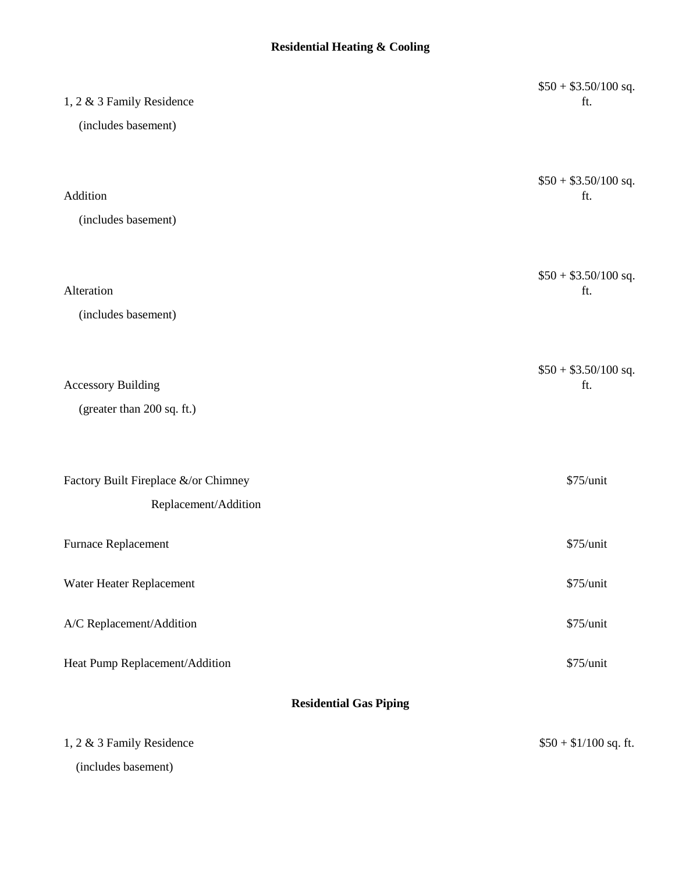## **Residential Heating & Cooling**

| 1, 2 & 3 Family Residence            | $$50 + $3.50/100$ sq.<br>ft. |
|--------------------------------------|------------------------------|
| (includes basement)                  |                              |
|                                      |                              |
| Addition                             | $$50 + $3.50/100$ sq.<br>ft. |
|                                      |                              |
| (includes basement)                  |                              |
|                                      |                              |
| Alteration                           | $$50 + $3.50/100$ sq.<br>ft. |
| (includes basement)                  |                              |
|                                      |                              |
|                                      | $$50 + $3.50/100$ sq.        |
| <b>Accessory Building</b>            | ft.                          |
| (greater than 200 sq. ft.)           |                              |
|                                      |                              |
| Factory Built Fireplace &/or Chimney | \$75/unit                    |
| Replacement/Addition                 |                              |
| Furnace Replacement                  | \$75/unit                    |
| Water Heater Replacement             | \$75/unit                    |
| A/C Replacement/Addition             | \$75/unit                    |
| Heat Pump Replacement/Addition       | \$75/unit                    |
| <b>Residential Gas Piping</b>        |                              |
| 1, 2 & 3 Family Residence            | $$50 + $1/100$ sq. ft.       |
| (includes basement)                  |                              |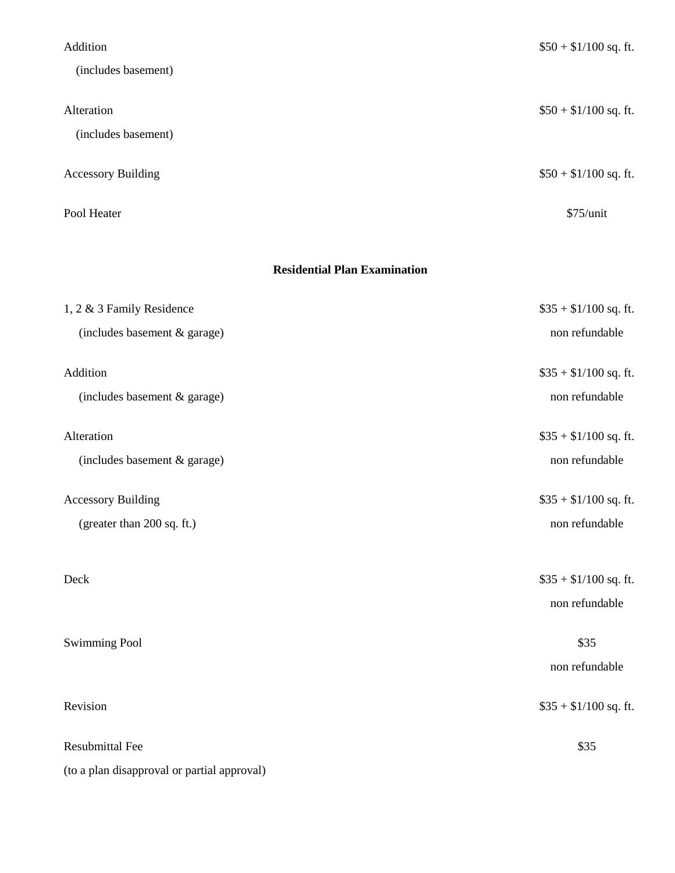| Addition                          | $$50 + $1/100$ sq. ft. |
|-----------------------------------|------------------------|
| (includes basement)               |                        |
| Alteration<br>(includes basement) | $$50 + $1/100$ sq. ft. |
| <b>Accessory Building</b>         | $$50 + $1/100$ sq. ft. |
| Pool Heater                       | $$75/$ unit            |

## **Residential Plan Examination**

| 1, 2 & 3 Family Residence                   | $$35 + $1/100$ sq. ft. |
|---------------------------------------------|------------------------|
| (includes basement & garage)                | non refundable         |
| Addition                                    | $$35 + $1/100$ sq. ft. |
| (includes basement & garage)                | non refundable         |
| Alteration                                  | $$35 + $1/100$ sq. ft. |
| (includes basement & garage)                | non refundable         |
| <b>Accessory Building</b>                   | $$35 + $1/100$ sq. ft. |
| (greater than 200 sq. ft.)                  | non refundable         |
| Deck                                        | $$35 + $1/100$ sq. ft. |
|                                             | non refundable         |
| <b>Swimming Pool</b>                        | \$35                   |
|                                             | non refundable         |
| Revision                                    | $$35 + $1/100$ sq. ft. |
| <b>Resubmittal Fee</b>                      | \$35                   |
| (to a plan disapproval or partial approval) |                        |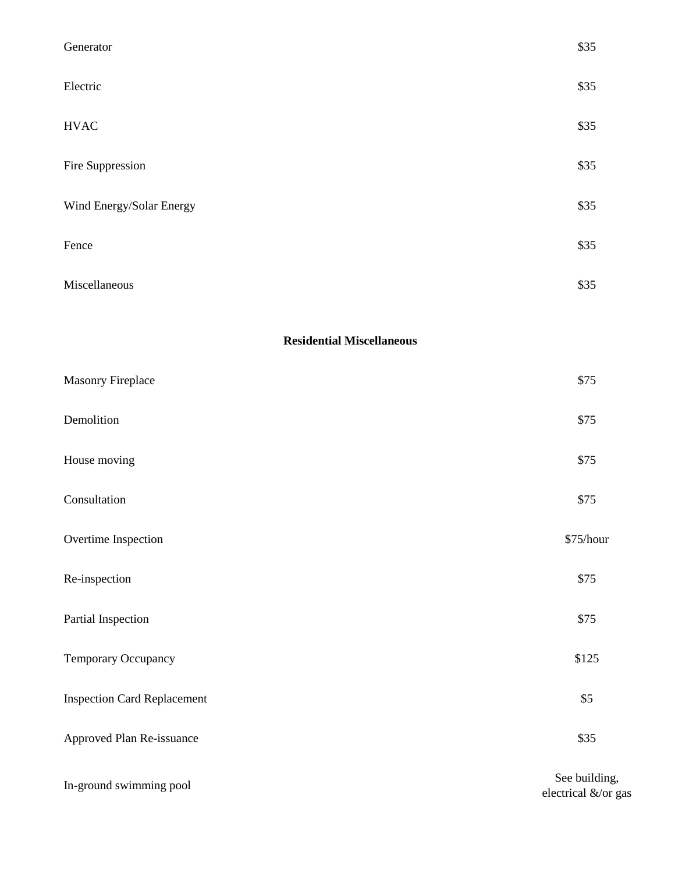| Generator                          | \$35          |
|------------------------------------|---------------|
| Electric                           | \$35          |
| <b>HVAC</b>                        | \$35          |
| Fire Suppression                   | \$35          |
| Wind Energy/Solar Energy           | \$35          |
| Fence                              | \$35          |
| Miscellaneous                      | \$35          |
| <b>Residential Miscellaneous</b>   |               |
| Masonry Fireplace                  | \$75          |
| Demolition                         | \$75          |
| House moving                       | \$75          |
| Consultation                       | \$75          |
| Overtime Inspection                | \$75/hour     |
| Re-inspection                      | \$75          |
| Partial Inspection                 | \$75          |
| Temporary Occupancy                | \$125         |
| <b>Inspection Card Replacement</b> | \$5           |
| Approved Plan Re-issuance          | \$35          |
| In-ground swimming pool            | See building, |

electrical &/or gas